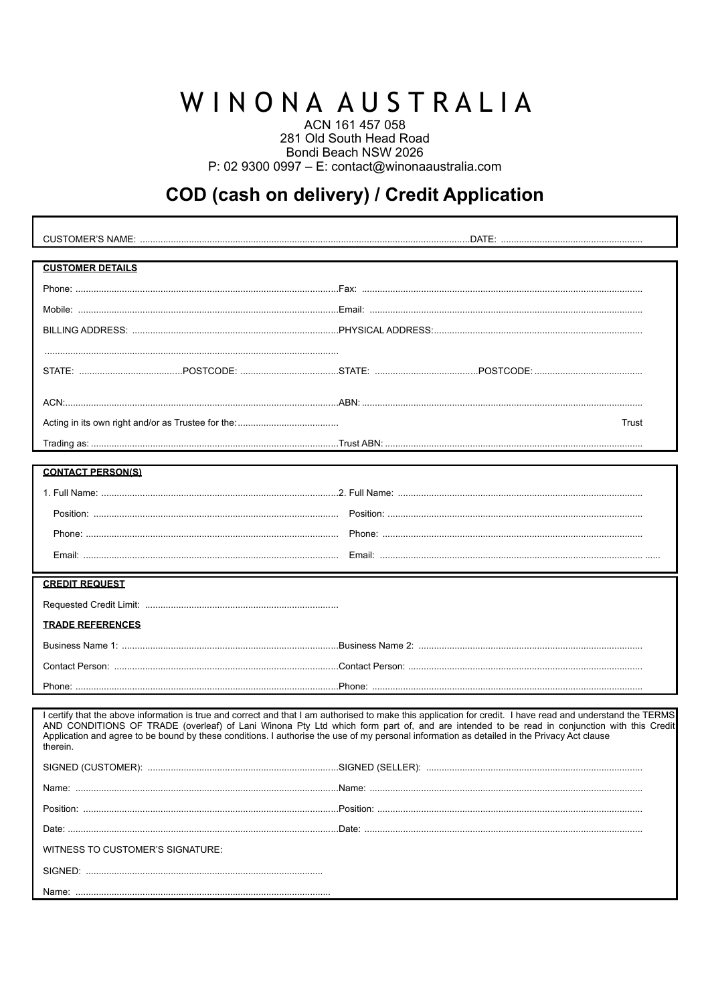# WINONA AUSTRALIA

ACN 161 457 058 281 Old South Head Road Bondi Beach NSW 2026 P: 02 9300 0997 - E: contact@winonaaustralia.com

## COD (cash on delivery) / Credit Application

| <b>CUSTOMER DETAILS</b>          |                                                                                                                                                                                                                                                                                                                                                                                                                                                         |
|----------------------------------|---------------------------------------------------------------------------------------------------------------------------------------------------------------------------------------------------------------------------------------------------------------------------------------------------------------------------------------------------------------------------------------------------------------------------------------------------------|
|                                  |                                                                                                                                                                                                                                                                                                                                                                                                                                                         |
|                                  |                                                                                                                                                                                                                                                                                                                                                                                                                                                         |
|                                  |                                                                                                                                                                                                                                                                                                                                                                                                                                                         |
|                                  |                                                                                                                                                                                                                                                                                                                                                                                                                                                         |
|                                  |                                                                                                                                                                                                                                                                                                                                                                                                                                                         |
|                                  |                                                                                                                                                                                                                                                                                                                                                                                                                                                         |
|                                  | Trust                                                                                                                                                                                                                                                                                                                                                                                                                                                   |
|                                  |                                                                                                                                                                                                                                                                                                                                                                                                                                                         |
|                                  |                                                                                                                                                                                                                                                                                                                                                                                                                                                         |
| <b>CONTACT PERSON(S)</b>         |                                                                                                                                                                                                                                                                                                                                                                                                                                                         |
|                                  |                                                                                                                                                                                                                                                                                                                                                                                                                                                         |
|                                  |                                                                                                                                                                                                                                                                                                                                                                                                                                                         |
|                                  |                                                                                                                                                                                                                                                                                                                                                                                                                                                         |
|                                  |                                                                                                                                                                                                                                                                                                                                                                                                                                                         |
|                                  |                                                                                                                                                                                                                                                                                                                                                                                                                                                         |
|                                  |                                                                                                                                                                                                                                                                                                                                                                                                                                                         |
| <b>CREDIT REQUEST</b>            |                                                                                                                                                                                                                                                                                                                                                                                                                                                         |
|                                  |                                                                                                                                                                                                                                                                                                                                                                                                                                                         |
| <b><i>IRADE REFERENCES</i></b>   |                                                                                                                                                                                                                                                                                                                                                                                                                                                         |
|                                  |                                                                                                                                                                                                                                                                                                                                                                                                                                                         |
|                                  |                                                                                                                                                                                                                                                                                                                                                                                                                                                         |
|                                  |                                                                                                                                                                                                                                                                                                                                                                                                                                                         |
| therein.                         | I certify that the above information is true and correct and that I am authorised to make this application for credit. I have read and understand the TERMS<br>AND CONDITIONS OF TRADE (overleaf) of Lani Winona Pty Ltd which form part of, and are intended to be read in conjunction with this Credit<br>Application and agree to be bound by these conditions. I authorise the use of my personal information as detailed in the Privacy Act clause |
| SIGNED (CUSTOMER):               |                                                                                                                                                                                                                                                                                                                                                                                                                                                         |
|                                  |                                                                                                                                                                                                                                                                                                                                                                                                                                                         |
|                                  |                                                                                                                                                                                                                                                                                                                                                                                                                                                         |
|                                  |                                                                                                                                                                                                                                                                                                                                                                                                                                                         |
| WITNESS TO CUSTOMER'S SIGNATURE: |                                                                                                                                                                                                                                                                                                                                                                                                                                                         |
|                                  |                                                                                                                                                                                                                                                                                                                                                                                                                                                         |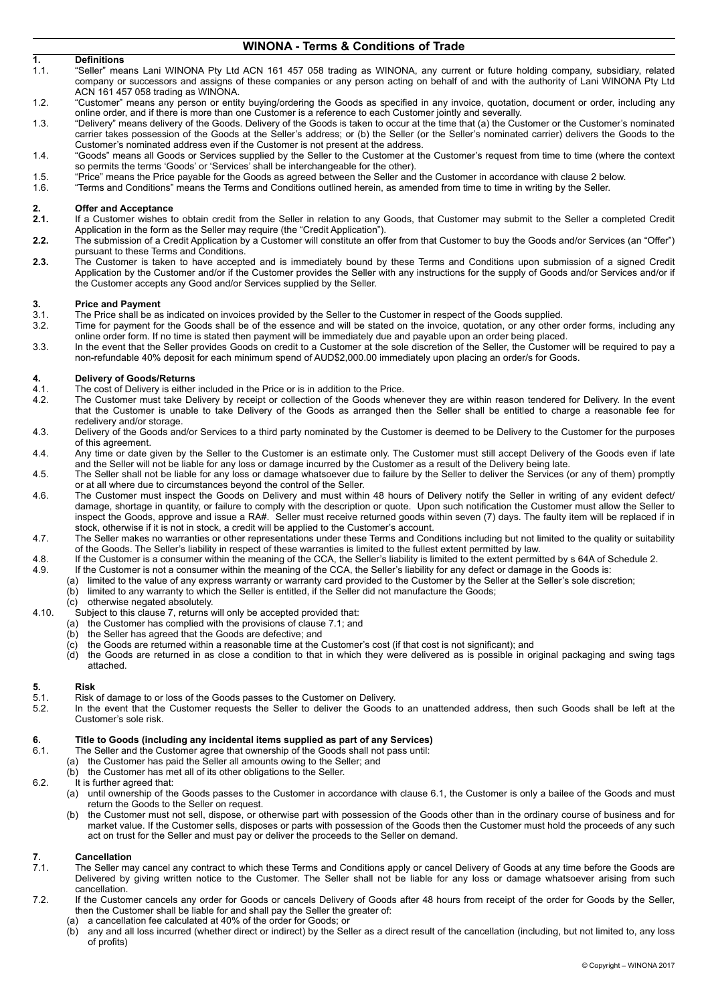### **WINONA - Terms & Conditions of Trade**

- **1. Definitions**  1.1. "Seller" means Lani WINONA Pty Ltd ACN 161 457 058 trading as WINONA, any current or future holding company, subsidiary, related company or successors and assigns of these companies or any person acting on behalf of and with the authority of Lani WINONA Pty Ltd ACN 161 457 058 trading as WINONA.
- 1.2. "Customer" means any person or entity buying/ordering the Goods as specified in any invoice, quotation, document or order, including any online order, and if there is more than one Customer is a reference to each Customer jointly and severally.
- 1.3. "Delivery" means delivery of the Goods. Delivery of the Goods is taken to occur at the time that (a) the Customer or the Customer's nominated carrier takes possession of the Goods at the Seller's address; or (b) the Seller (or the Seller's nominated carrier) delivers the Goods to the Customer's nominated address even if the Customer is not present at the address.
- 1.4. "Goods" means all Goods or Services supplied by the Seller to the Customer at the Customer's request from time to time (where the context so permits the terms 'Goods' or 'Services' shall be interchangeable for the other).
- 1.5. "Price" means the Price payable for the Goods as agreed between the Seller and the Customer in accordance with clause 2 below.<br>1.6. Terms and Conditions" means the Terms and Conditions outlined herein as amended from
- 1.6. "Terms and Conditions" means the Terms and Conditions outlined herein, as amended from time to time in writing by the Seller.

### **2. Offer and Acceptance**

- **2.1.** If a Customer wishes to obtain credit from the Seller in relation to any Goods, that Customer may submit to the Seller a completed Credit Application in the form as the Seller may require (the "Credit Application").
- **2.2.** The submission of a Credit Application by a Customer will constitute an offer from that Customer to buy the Goods and/or Services (an "Offer") pursuant to these Terms and Conditions.
- **2.3.** The Customer is taken to have accepted and is immediately bound by these Terms and Conditions upon submission of a signed Credit Application by the Customer and/or if the Customer provides the Seller with any instructions for the supply of Goods and/or Services and/or if the Customer accepts any Good and/or Services supplied by the Seller.

### **3. Price and Payment**

- 3.1. The Price shall be as indicated on invoices provided by the Seller to the Customer in respect of the Goods supplied.<br>3.2. Time for payment for the Goods shall be of the essence and will be stated on the invoice, quota
- Time for payment for the Goods shall be of the essence and will be stated on the invoice, quotation, or any other order forms, including any online order form. If no time is stated then payment will be immediately due and payable upon an order being placed.
- 3.3. In the event that the Seller provides Goods on credit to a Customer at the sole discretion of the Seller, the Customer will be required to pay a non-refundable 40% deposit for each minimum spend of AUD\$2,000.00 immediately upon placing an order/s for Goods.

### **4. Delivery of Goods/Returns**

- 4.1. The cost of Delivery is either included in the Price or is in addition to the Price.<br>4.2. The Customer must take Delivery by receipt or collection of the Goods when
- The Customer must take Delivery by receipt or collection of the Goods whenever they are within reason tendered for Delivery. In the event that the Customer is unable to take Delivery of the Goods as arranged then the Seller shall be entitled to charge a reasonable fee for redelivery and/or storage.
- 4.3. Delivery of the Goods and/or Services to a third party nominated by the Customer is deemed to be Delivery to the Customer for the purposes of this agreement.
- 4.4. Any time or date given by the Seller to the Customer is an estimate only. The Customer must still accept Delivery of the Goods even if late and the Seller will not be liable for any loss or damage incurred by the Customer as a result of the Delivery being late.
- 4.5. The Seller shall not be liable for any loss or damage whatsoever due to failure by the Seller to deliver the Services (or any of them) promptly or at all where due to circumstances beyond the control of the Seller.
- 4.6. The Customer must inspect the Goods on Delivery and must within 48 hours of Delivery notify the Seller in writing of any evident defect/ damage, shortage in quantity, or failure to comply with the description or quote. Upon such notification the Customer must allow the Seller to inspect the Goods, approve and issue a RA#. Seller must receive returned goods within seven (7) days. The faulty item will be replaced if in stock, otherwise if it is not in stock, a credit will be applied to the Customer's account.
- 4.7. The Seller makes no warranties or other representations under these Terms and Conditions including but not limited to the quality or suitability of the Goods. The Seller's liability in respect of these warranties is limited to the fullest extent permitted by law.
- 4.8. If the Customer is a consumer within the meaning of the CCA, the Seller's liability is limited to the extent permitted by s 64A of Schedule 2.
- 4.9. If the Customer is not a consumer within the meaning of the CCA, the Seller's liability for any defect or damage in the Goods is:
	- (a) limited to the value of any express warranty or warranty card provided to the Customer by the Seller at the Seller's sole discretion; (b) limited to any warranty to which the Seller is entitled, if the Seller did not manufacture the Goods;
		- (c) otherwise negated absolutely.
- 4.10. Subject to this clause 7, returns will only be accepted provided that:
	- (a) the Customer has complied with the provisions of clause 7.1; and
	- (b) the Seller has agreed that the Goods are defective; and
	- (c) the Goods are returned within a reasonable time at the Customer's cost (if that cost is not significant); and
	- (d) the Goods are returned in as close a condition to that in which they were delivered as is possible in original packaging and swing tags attached.

- **5. Risk**  5.1. Risk of damage to or loss of the Goods passes to the Customer on Delivery.<br>5.2 In the event that the Customer requests the Seller to deliver the Goods
	- In the event that the Customer requests the Seller to deliver the Goods to an unattended address, then such Goods shall be left at the Customer's sole risk.

### **6. Title to Goods (including any incidental items supplied as part of any Services) 6.1** The Seller and the Customer agree that ownership of the Goods shall not pass until

- The Seller and the Customer agree that ownership of the Goods shall not pass until:
- (a) the Customer has paid the Seller all amounts owing to the Seller; and
- (b) the Customer has met all of its other obligations to the Seller.
- 6.2. It is further agreed that:
	- (a) until ownership of the Goods passes to the Customer in accordance with clause 6.1, the Customer is only a bailee of the Goods and must return the Goods to the Seller on request.
	- (b) the Customer must not sell, dispose, or otherwise part with possession of the Goods other than in the ordinary course of business and for market value. If the Customer sells, disposes or parts with possession of the Goods then the Customer must hold the proceeds of any such act on trust for the Seller and must pay or deliver the proceeds to the Seller on demand.

### **7. Cancellation**

- The Seller may cancel any contract to which these Terms and Conditions apply or cancel Delivery of Goods at any time before the Goods are Delivered by giving written notice to the Customer. The Seller shall not be liable for any loss or damage whatsoever arising from such cancellation.
- 7.2. If the Customer cancels any order for Goods or cancels Delivery of Goods after 48 hours from receipt of the order for Goods by the Seller, then the Customer shall be liable for and shall pay the Seller the greater of:
	- (a) a cancellation fee calculated at 40% of the order for Goods; or
	- (b) any and all loss incurred (whether direct or indirect) by the Seller as a direct result of the cancellation (including, but not limited to, any loss of profits)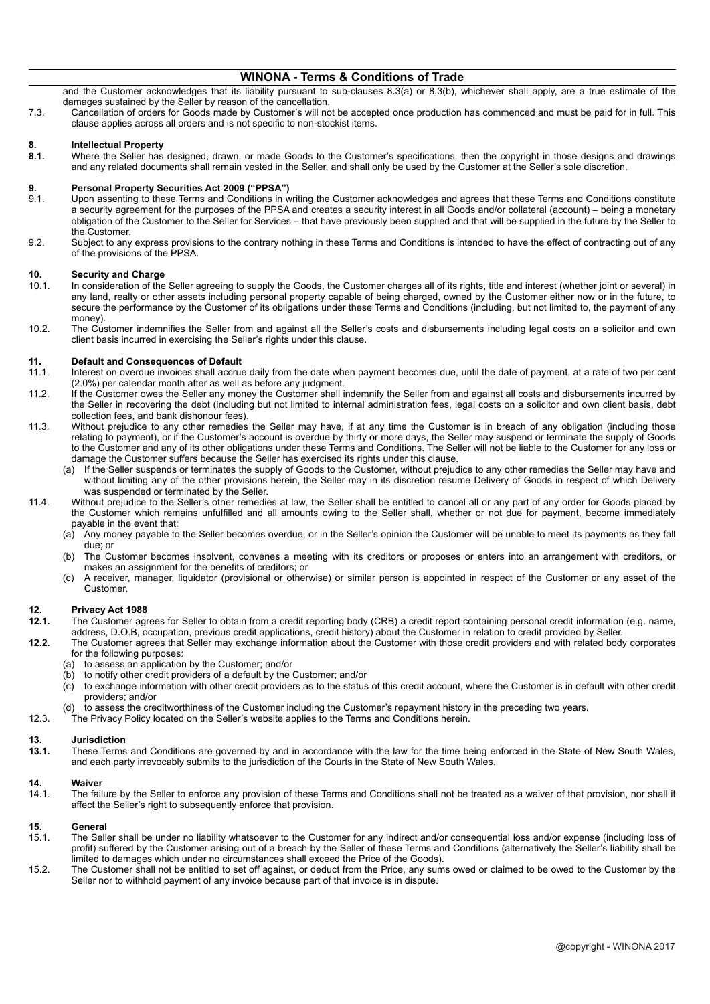### **WINONA - Terms & Conditions of Trade**

and the Customer acknowledges that its liability pursuant to sub-clauses 8.3(a) or 8.3(b), whichever shall apply, are a true estimate of the damages sustained by the Seller by reason of the cancellation.

7.3. Cancellation of orders for Goods made by Customer's will not be accepted once production has commenced and must be paid for in full. This clause applies across all orders and is not specific to non-stockist items.

### **8. Intellectual Property**

**8.1.** Where the Seller has designed, drawn, or made Goods to the Customer's specifications, then the copyright in those designs and drawings and any related documents shall remain vested in the Seller, and shall only be used by the Customer at the Seller's sole discretion.

### **9. Personal Property Securities Act 2009 ("PPSA")**

- 9.1. Upon assenting to these Terms and Conditions in writing the Customer acknowledges and agrees that these Terms and Conditions constitute a security agreement for the purposes of the PPSA and creates a security interest in all Goods and/or collateral (account) – being a monetary obligation of the Customer to the Seller for Services – that have previously been supplied and that will be supplied in the future by the Seller to the Customer.
- 9.2. Subject to any express provisions to the contrary nothing in these Terms and Conditions is intended to have the effect of contracting out of any of the provisions of the PPSA.

### **10. Security and Charge**

- In consideration of the Seller agreeing to supply the Goods, the Customer charges all of its rights, title and interest (whether joint or several) in any land, realty or other assets including personal property capable of being charged, owned by the Customer either now or in the future, to secure the performance by the Customer of its obligations under these Terms and Conditions (including, but not limited to, the payment of any money).
- 10.2. The Customer indemnifies the Seller from and against all the Seller's costs and disbursements including legal costs on a solicitor and own client basis incurred in exercising the Seller's rights under this clause.

## **11. Default and Consequences of Default**

- 11.1. Interest on overdue invoices shall accrue daily from the date when payment becomes due, until the date of payment, at a rate of two per cent (2.0%) per calendar month after as well as before any judgment.
- 11.2. If the Customer owes the Seller any money the Customer shall indemnify the Seller from and against all costs and disbursements incurred by the Seller in recovering the debt (including but not limited to internal administration fees, legal costs on a solicitor and own client basis, debt collection fees, and bank dishonour fees).
- 11.3. Without prejudice to any other remedies the Seller may have, if at any time the Customer is in breach of any obligation (including those relating to payment), or if the Customer's account is overdue by thirty or more days, the Seller may suspend or terminate the supply of Goods to the Customer and any of its other obligations under these Terms and Conditions. The Seller will not be liable to the Customer for any loss or damage the Customer suffers because the Seller has exercised its rights under this clause.<br>(a) If the Seller suspends or terminates the supply of Goods to the Customer, without prejud
	- If the Seller suspends or terminates the supply of Goods to the Customer, without prejudice to any other remedies the Seller may have and without limiting any of the other provisions herein, the Seller may in its discretion resume Delivery of Goods in respect of which Delivery was suspended or terminated by the Seller.
- 11.4. Without prejudice to the Seller's other remedies at law, the Seller shall be entitled to cancel all or any part of any order for Goods placed by the Customer which remains unfulfilled and all amounts owing to the Seller shall, whether or not due for payment, become immediately payable in the event that:
	- (a) Any money payable to the Seller becomes overdue, or in the Seller's opinion the Customer will be unable to meet its payments as they fall due; or
	- (b) The Customer becomes insolvent, convenes a meeting with its creditors or proposes or enters into an arrangement with creditors, or makes an assignment for the benefits of creditors; or
	- (c) A receiver, manager, liquidator (provisional or otherwise) or similar person is appointed in respect of the Customer or any asset of the Customer.

### **12. Privacy Act 1988**

- **12.1.** The Customer agrees for Seller to obtain from a credit reporting body (CRB) a credit report containing personal credit information (e.g. name, address, D.O.B, occupation, previous credit applications, credit history) about the Customer in relation to credit provided by Seller.
- **12.2.** The Customer agrees that Seller may exchange information about the Customer with those credit providers and with related body corporates for the following purposes:
	- (a) to assess an application by the Customer; and/or
	- (b) to notify other credit providers of a default by the Customer; and/or (c) to exchange information with other credit providers as to the status
	- to exchange information with other credit providers as to the status of this credit account, where the Customer is in default with other credit providers; and/or
	- (d) to assess the creditworthiness of the Customer including the Customer's repayment history in the preceding two years.
- 12.3. The Privacy Policy located on the Seller's website applies to the Terms and Conditions herein.

### **13. Jurisdiction**

**13.1.** These Terms and Conditions are governed by and in accordance with the law for the time being enforced in the State of New South Wales, and each party irrevocably submits to the jurisdiction of the Courts in the State of New South Wales.

### **14. Waiver**

The failure by the Seller to enforce any provision of these Terms and Conditions shall not be treated as a waiver of that provision, nor shall it affect the Seller's right to subsequently enforce that provision.

### **15. General**

- The Seller shall be under no liability whatsoever to the Customer for any indirect and/or consequential loss and/or expense (including loss of profit) suffered by the Customer arising out of a breach by the Seller of these Terms and Conditions (alternatively the Seller's liability shall be limited to damages which under no circumstances shall exceed the Price of the Goods).
- 15.2. The Customer shall not be entitled to set off against, or deduct from the Price, any sums owed or claimed to be owed to the Customer by the Seller nor to withhold payment of any invoice because part of that invoice is in dispute.